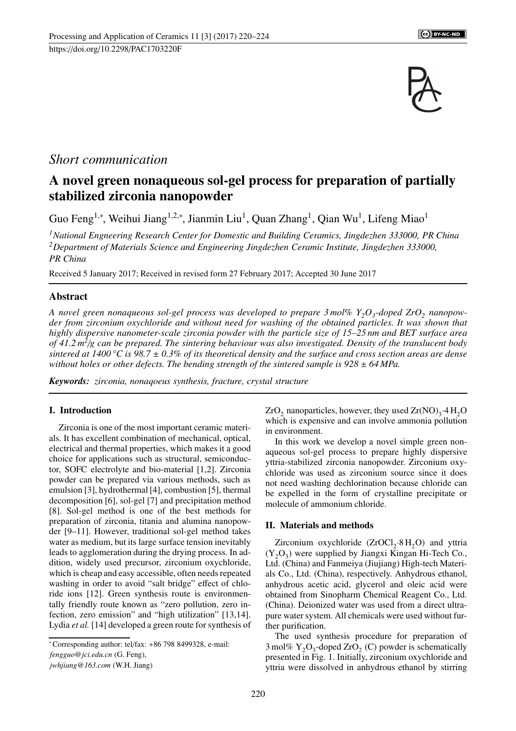

## *Short communication*

# A novel green nonaqueous sol-gel process for preparation of partially stabilized zirconia nanopowder

Guo Feng<sup>1,∗</sup>, Weihui Jiang<sup>1,2,∗</sup>, Jianmin Liu<sup>1</sup>, Quan Zhang<sup>1</sup>, Qian Wu<sup>1</sup>, Lifeng Miao<sup>1</sup>

*<sup>1</sup>National Engneering Research Center for Domestic and Building Ceramics, Jingdezhen 333000, PR China <sup>2</sup>Department of Materials Science and Engineering Jingdezhen Ceramic Institute, Jingdezhen 333000, PR China*

Received 5 January 2017; Received in revised form 27 February 2017; Accepted 30 June 2017

### Abstract

*A novel green nonaqueous sol-gel process was developed to prepare 3 mol% Y2O<sup>3</sup> -doped ZrO<sup>2</sup> nanopowder from zirconium oxychloride and without need for washing of the obtained particles. It was shown that highly dispersive nanometer-scale zirconia powder with the particle size of 15–25 nm and BET surface area of 41.2 m<sup>2</sup>* /*g can be prepared. The sintering behaviour was also investigated. Density of the translucent body sintered at 1400 °C is 98.7* ± *0.3% of its theoretical density and the surface and cross section areas are dense without holes or other defects. The bending strength of the sintered sample is*  $928 \pm 64$  *MPa.* 

*Keywords: zirconia, nonaqoeus synthesis, fracture, crystal structure*

### I. Introduction

Zirconia is one of the most important ceramic materials. It has excellent combination of mechanical, optical, electrical and thermal properties, which makes it a good choice for applications such as structural, semiconductor, SOFC electrolyte and bio-material [1,2]. Zirconia powder can be prepared via various methods, such as emulsion [3], hydrothermal [4], combustion [5], thermal decomposition [6], sol-gel [7] and precipitation method [8]. Sol-gel method is one of the best methods for preparation of zirconia, titania and alumina nanopowder [9–11]. However, traditional sol-gel method takes water as medium, but its large surface tension inevitably leads to agglomeration during the drying process. In addition, widely used precursor, zirconium oxychloride, which is cheap and easy accessible, often needs repeated washing in order to avoid "salt bridge" effect of chloride ions [12]. Green synthesis route is environmentally friendly route known as "zero pollution, zero infection, zero emission" and "high utilization" [13,14]. Lydia *et al.* [14] developed a green route for synthesis of

*fengguo@jci.edu.cn* (G. Feng),

*jwhjiang@163.com* (W.H. Jiang)

 $ZrO_2$  nanoparticles, however, they used  $Zr(NO)_3.4H_2O$ which is expensive and can involve ammonia pollution in environment.

In this work we develop a novel simple green nonaqueous sol-gel process to prepare highly dispersive yttria-stabilized zirconia nanopowder. Zirconium oxychloride was used as zirconium source since it does not need washing dechlorination because chloride can be expelled in the form of crystalline precipitate or molecule of ammonium chloride.

### II. Materials and methods

Zirconium oxychloride  $(ZrOCl<sub>2</sub>·8 H<sub>2</sub>O)$  and yttria  $(Y_2O_3)$  were supplied by Jiangxi Kingan Hi-Tech Co., Ltd. (China) and Fanmeiya (Jiujiang) High-tech Materials Co., Ltd. (China), respectively. Anhydrous ethanol, anhydrous acetic acid, glycerol and oleic acid were obtained from Sinopharm Chemical Reagent Co., Ltd. (China). Deionized water was used from a direct ultrapure water system. All chemicals were used without further purification.

The used synthesis procedure for preparation of 3 mol%  $Y_2O_3$ -doped ZrO<sub>2</sub> (C) powder is schematically presented in Fig. 1. Initially, zirconium oxychloride and yttria were dissolved in anhydrous ethanol by stirring

<sup>∗</sup>Corresponding author: tel/fax: +86 798 8499328, e-mail: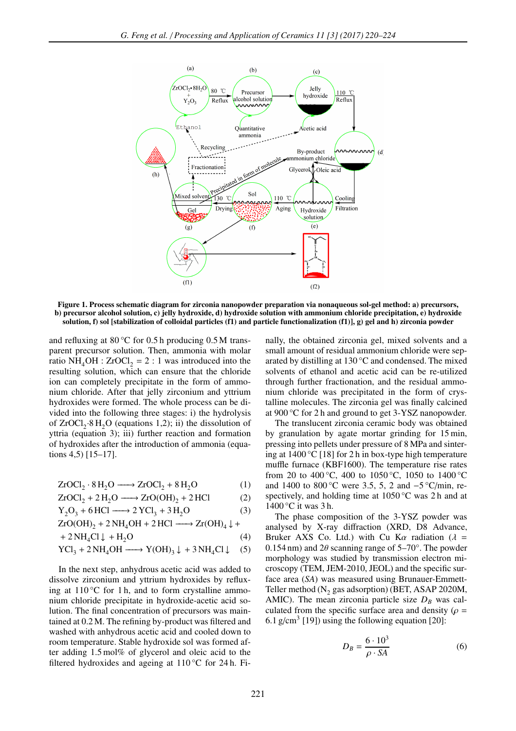

Figure 1. Process schematic diagram for zirconia nanopowder preparation via nonaqueous sol-gel method: a) precursors, b) precursor alcohol solution, c) jelly hydroxide, d) hydroxide solution with ammonium chloride precipitation, e) hydroxide solution, f) sol [stabilization of colloidal particles (f1) and particle functionalization (f1)], g) gel and h) zirconia powder

and refluxing at  $80^{\circ}$ C for 0.5 h producing 0.5 M transparent precursor solution. Then, ammonia with molar ratio NH<sub>4</sub>OH : ZrOCl<sub>2</sub> = 2 : 1 was introduced into the resulting solution, which can ensure that the chloride ion can completely precipitate in the form of ammonium chloride. After that jelly zirconium and yttrium hydroxides were formed. The whole process can be divided into the following three stages: i) the hydrolysis of  $ZrOCl<sub>2</sub>·8 H<sub>2</sub>O$  (equations 1,2); ii) the dissolution of yttria (equation 3); iii) further reaction and formation of hydroxides after the introduction of ammonia (equations 4,5) [15–17].

$$
ZrOCl_2 \cdot 8 H_2O \longrightarrow ZrOCl_2 + 8 H_2O \tag{1}
$$

$$
ZrOCl_2 + 2H_2O \longrightarrow ZrO(OH)_2 + 2HCl
$$
 (2)

$$
Y_2O_3 + 6\,\text{HCl} \longrightarrow 2\,\text{YCl}_3 + 3\,\text{H}_2\text{O} \tag{3}
$$

$$
ZrO(OH)2 + 2 NH4OH + 2 HCl \longrightarrow Zr(OH)4 \downarrow +
$$

$$
+ 2NH_4Cl \downarrow + H_2O \tag{4}
$$

$$
YCl_3 + 2NH_4OH \longrightarrow Y(OH)_3 \downarrow + 3NH_4Cl \downarrow (5)
$$

In the next step, anhydrous acetic acid was added to dissolve zirconium and yttrium hydroxides by refluxing at  $110^{\circ}$ C for 1 h, and to form crystalline ammonium chloride precipitate in hydroxide-acetic acid solution. The final concentration of precursors was maintained at 0.2 M. The refining by-product was filtered and washed with anhydrous acetic acid and cooled down to room temperature. Stable hydroxide sol was formed after adding 1.5 mol% of glycerol and oleic acid to the filtered hydroxides and ageing at 110 °C for 24 h. Finally, the obtained zirconia gel, mixed solvents and a small amount of residual ammonium chloride were separated by distilling at 130 °C and condensed. The mixed solvents of ethanol and acetic acid can be re-utilized through further fractionation, and the residual ammonium chloride was precipitated in the form of crystalline molecules. The zirconia gel was finally calcined at 900 °C for 2 h and ground to get 3-YSZ nanopowder.

The translucent zirconia ceramic body was obtained by granulation by agate mortar grinding for 15 min, pressing into pellets under pressure of 8 MPa and sintering at 1400 °C [18] for 2 h in box-type high temperature muffle furnace (KBF1600). The temperature rise rates from 20 to 400 °C, 400 to 1050 °C, 1050 to 1400 °C and 1400 to 800 °C were 3.5, 5, 2 and  $-5$  °C/min, respectively, and holding time at 1050 °C was 2h and at 1400 °C it was 3 h.

The phase composition of the 3-YSZ powder was analysed by X-ray diffraction (XRD, D8 Advance, Bruker AXS Co. Ltd.) with Cu Ka radiation ( $\lambda$  = 0.154 nm) and 2 $\theta$  scanning range of 5–70°. The powder morphology was studied by transmission electron microscopy (TEM, JEM-2010, JEOL) and the specific surface area (*SA*) was measured using Brunauer-Emmett-Teller method ( $N_2$  gas adsorption) (BET, ASAP 2020M, AMIC). The mean zirconia particle size  $D_B$  was calculated from the specific surface area and density ( $\rho =$ 6.1 g/cm<sup>3</sup> [19]) using the following equation [20]:

$$
D_B = \frac{6 \cdot 10^3}{\rho \cdot SA} \tag{6}
$$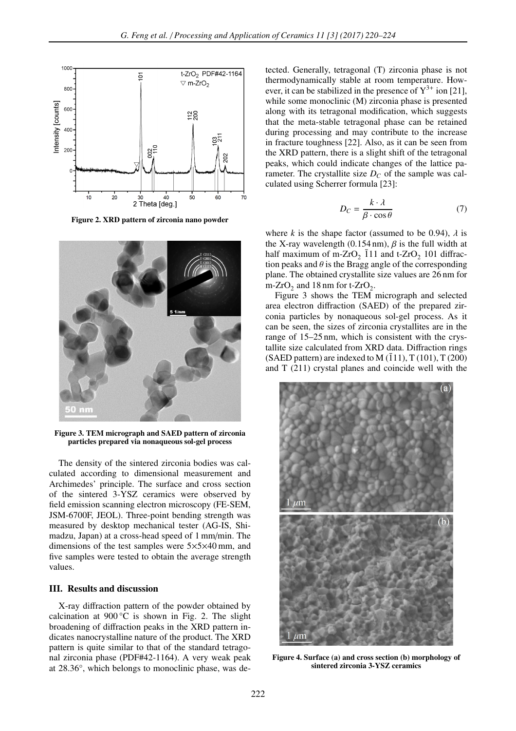

Figure 2. XRD pattern of zirconia nano powder



Figure 3. TEM micrograph and SAED pattern of zirconia particles prepared via nonaqueous sol-gel process

The density of the sintered zirconia bodies was calculated according to dimensional measurement and Archimedes' principle. The surface and cross section of the sintered 3-YSZ ceramics were observed by field emission scanning electron microscopy (FE-SEM, JSM-6700F, JEOL). Three-point bending strength was measured by desktop mechanical tester (AG-IS, Shimadzu, Japan) at a cross-head speed of 1 mm/min. The dimensions of the test samples were 5×5×40 mm, and five samples were tested to obtain the average strength values.

### III. Results and discussion

X-ray diffraction pattern of the powder obtained by calcination at  $900^{\circ}$ C is shown in Fig. 2. The slight broadening of diffraction peaks in the XRD pattern indicates nanocrystalline nature of the product. The XRD pattern is quite similar to that of the standard tetragonal zirconia phase (PDF#42-1164). A very weak peak at 28.36°, which belongs to monoclinic phase, was detected. Generally, tetragonal (T) zirconia phase is not thermodynamically stable at room temperature. However, it can be stabilized in the presence of  $Y^{3+}$  ion [21], while some monoclinic (M) zirconia phase is presented along with its tetragonal modification, which suggests that the meta-stable tetragonal phase can be retained during processing and may contribute to the increase in fracture toughness [22]. Also, as it can be seen from the XRD pattern, there is a slight shift of the tetragonal peaks, which could indicate changes of the lattice parameter. The crystallite size  $D<sub>C</sub>$  of the sample was calculated using Scherrer formula [23]:

$$
D_C = \frac{k \cdot \lambda}{\beta \cdot \cos \theta} \tag{7}
$$

where *k* is the shape factor (assumed to be 0.94),  $\lambda$  is the X-ray wavelength  $(0.154 \text{ nm})$ ,  $\beta$  is the full width at half maximum of m-ZrO<sub>2</sub>  $\overline{1}11$  and t-ZrO<sub>2</sub> 101 diffraction peaks and  $\theta$  is the Bragg angle of the corresponding plane. The obtained crystallite size values are 26 nm for m-ZrO<sub>2</sub> and 18 nm for t-ZrO<sub>2</sub>.

Figure 3 shows the TEM micrograph and selected area electron diffraction (SAED) of the prepared zirconia particles by nonaqueous sol-gel process. As it can be seen, the sizes of zirconia crystallites are in the range of 15–25 nm, which is consistent with the crystallite size calculated from XRD data. Diffraction rings (SAED pattern) are indexed to M  $(111)$ , T $(101)$ , T $(200)$ and T (211) crystal planes and coincide well with the



Figure 4. Surface (a) and cross section (b) morphology of sintered zirconia 3-YSZ ceramics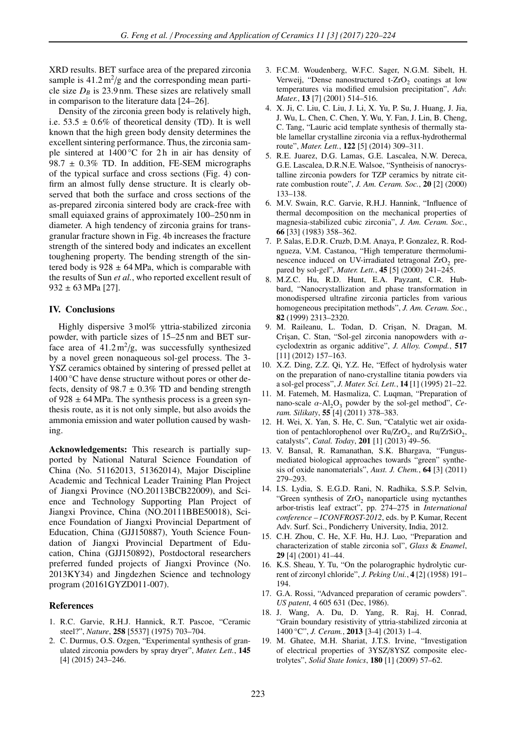XRD results. BET surface area of the prepared zirconia sample is  $41.2 \,\mathrm{m^2/g}$  and the corresponding mean particle size  $D_B$  is 23.9 nm. These sizes are relatively small in comparison to the literature data [24–26].

Density of the zirconia green body is relatively high, i.e.  $53.5 \pm 0.6\%$  of theoretical density (TD). It is well known that the high green body density determines the excellent sintering performance. Thus, the zirconia sample sintered at  $1400^{\circ}$ C for 2h in air has density of 98.7  $\pm$  0.3% TD. In addition, FE-SEM micrographs of the typical surface and cross sections (Fig. 4) confirm an almost fully dense structure. It is clearly observed that both the surface and cross sections of the as-prepared zirconia sintered body are crack-free with small equiaxed grains of approximately 100–250 nm in diameter. A high tendency of zirconia grains for transgranular fracture shown in Fig. 4b increases the fracture strength of the sintered body and indicates an excellent toughening property. The bending strength of the sintered body is  $928 \pm 64$  MPa, which is comparable with the results of Sun *et al.*, who reported excellent result of  $932 \pm 63$  MPa [27].

#### IV. Conclusions

Highly dispersive 3 mol% yttria-stabilized zirconia powder, with particle sizes of 15–25 nm and BET surface area of  $41.2 \text{ m}^2/\text{g}$ , was successfully synthesized by a novel green nonaqueous sol-gel process. The 3- YSZ ceramics obtained by sintering of pressed pellet at 1400 °C have dense structure without pores or other defects, density of  $98.7 \pm 0.3\%$  TD and bending strength of 928  $\pm$  64 MPa. The synthesis process is a green synthesis route, as it is not only simple, but also avoids the ammonia emission and water pollution caused by washing.

Acknowledgements: This research is partially supported by National Natural Science Foundation of China (No. 51162013, 51362014), Major Discipline Academic and Technical Leader Training Plan Project of Jiangxi Province (NO.20113BCB22009), and Science and Technology Supporting Plan Project of Jiangxi Province, China (NO.20111BBE50018), Science Foundation of Jiangxi Provincial Department of Education, China (GJJ150887), Youth Science Foundation of Jiangxi Provincial Department of Education, China (GJJ150892), Postdoctoral researchers preferred funded projects of Jiangxi Province (No. 2013KY34) and Jingdezhen Science and technology program (20161GYZD011-007).

#### References

- 1. R.C. Garvie, R.H.J. Hannick, R.T. Pascoe, "Ceramic steel?", *Nature*, 258 [5537] (1975) 703–704.
- 2. C. Durmus, O.S. Ozgen, "Experimental synthesis of granulated zirconia powders by spray dryer", *Mater. Lett.*, 145 [4] (2015) 243–246.
- 3. F.C.M. Woudenberg, W.F.C. Sager, N.G.M. Sibelt, H. Verweij, "Dense nanostructured t- $ZrO<sub>2</sub>$  coatings at low temperatures via modified emulsion precipitation", *Adv. Mater.*, **13** [7] (2001) 514-516.
- 4. X. Ji, C. Liu, C. Liu, J. Li, X. Yu, P. Su, J. Huang, J. Jia, J. Wu, L. Chen, C. Chen, Y. Wu, Y. Fan, J. Lin, B. Cheng, C. Tang, "Lauric acid template synthesis of thermally stable lamellar crystalline zirconia via a reflux-hydrothermal route", *Mater. Lett.*, 122 [5] (2014) 309–311.
- 5. R.E. Juarez, D.G. Lamas, G.E. Lascalea, N.W. Dereca, G.E. Lascalea, D.R.N.E. Walsoe, "Syntheisis of nanocrystalline zirconia powders for TZP ceramics by nitrate citrate combustion route", *J. Am. Ceram. Soc.*, 20 [2] (2000) 133–138.
- 6. M.V. Swain, R.C. Garvie, R.H.J. Hannink, "Influence of thermal decomposition on the mechanical properties of magnesia-stabilized cubic zirconia", *J. Am. Ceram. Soc.*, 66 [33] (1983) 358–362.
- 7. P. Salas, E.D.R. Cruzb, D.M. Anaya, P. Gonzalez, R. Rodngueza, V.M. Castanoa, "High temperature thermoluminescence induced on UV-irradiated tetragonal  $ZrO<sub>2</sub>$  prepared by sol-gel", *Mater. Lett.*, 45 [5] (2000) 241–245.
- 8. M.Z.C. Hu, R.D. Hunt, E.A. Payzant, C.R. Hubbard, "Nanocrystallization and phase transformation in monodispersed ultrafine zirconia particles from various homogeneous precipitation methods", *J. Am. Ceram. Soc.*, 82 (1999) 2313–2320.
- 9. M. Raileanu, L. Todan, D. Cri¸san, N. Dragan, M. Crişan, C. Stan, "Sol-gel zirconia nanopowders with  $\alpha$ cyclodextrin as organic additive", *J. Alloy. Compd.*, 517 [11] (2012) 157–163.
- 10. X.Z. Ding, Z.Z. Qi, Y.Z. He, "Effect of hydrolysis water on the preparation of nano-crystalline titania powders via a sol-gel process", *J. Mater. Sci. Lett.*, 14 [1] (1995) 21–22.
- 11. M. Fatemeh, M. Hasmaliza, C. Luqman, "Preparation of nano-scale  $\alpha$ -Al<sub>2</sub>O<sub>3</sub> powder by the sol-gel method", *Ceram. Silikaty*, 55 [4] (2011) 378–383.
- 12. H. Wei, X. Yan, S. He, C. Sun, "Catalytic wet air oxidation of pentachlorophenol over  $Ru/ZrO<sub>2</sub>$ , and  $Ru/ZrSiO<sub>2</sub>$ , catalysts", *Catal. Today*, 201 [1] (2013) 49–56.
- 13. V. Bansal, R. Ramanathan, S.K. Bhargava, "Fungusmediated biological approaches towards "green" synthesis of oxide nanomaterials", *Aust. J. Chem.*, 64 [3] (2011) 279–293.
- 14. I.S. Lydia, S. E.G.D. Rani, N. Radhika, S.S.P. Selvin, "Green synthesis of  $ZrO_2$  nanoparticle using nyctanthes arbor-tristis leaf extract", pp. 274–275 in *International conference – ICONFROST-2012*, eds. by P. Kumar, Recent Adv. Surf. Sci., Pondicherry University, India, 2012.
- 15. C.H. Zhou, C. He, X.F. Hu, H.J. Luo, "Preparation and characterization of stable zirconia sol", *Glass* & *Enamel*, 29 [4] (2001) 41–44.
- 16. K.S. Sheau, Y. Tu, "On the polarographic hydrolytic current of zirconyl chloride", *J. Peking Uni.*, 4 [2] (1958) 191– 194.
- 17. G.A. Rossi, "Advanced preparation of ceramic powders". *US patent*, 4 605 631 (Dec, 1986).
- 18. J. Wang, A. Du, D. Yang, R. Raj, H. Conrad, "Grain boundary resistivity of yttria-stabilized zirconia at 1400 °C", *J. Ceram.*, 2013 [3-4] (2013) 1–4.
- 19. M. Ghatee, M.H. Shariat, J.T.S. Irvine, "Investigation of electrical properties of 3YSZ/8YSZ composite electrolytes", *Solid State Ionics*, 180 [1] (2009) 57–62.